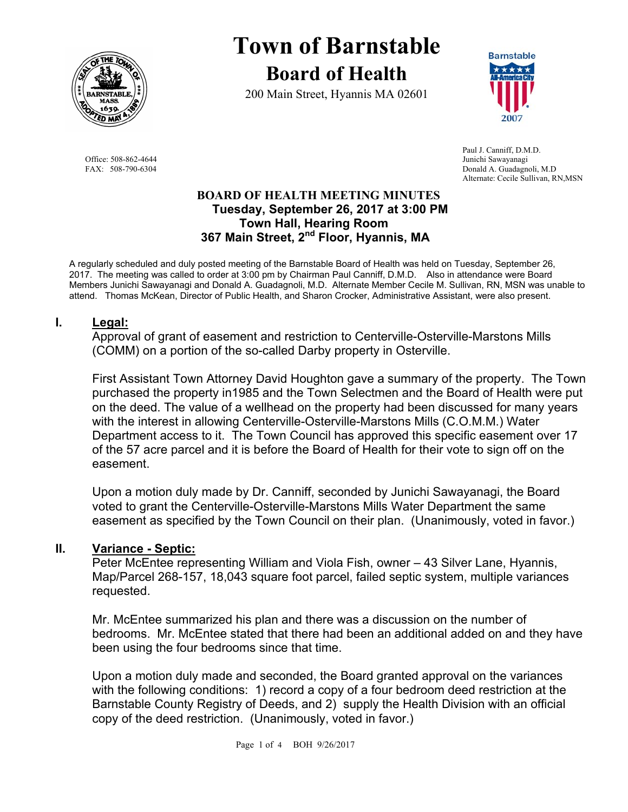

Office: 508-862-4644 Junichi Sawayanagi<br>
FAX: 508-790-6304 Donald A. Guadagne

# **Town of Barnstable Board of Health**

200 Main Street, Hyannis MA 02601



 Paul J. Canniff, D.M.D. Donald A. Guadagnoli, M.D Alternate: Cecile Sullivan, RN,MSN

#### **BOARD OF HEALTH MEETING MINUTES Tuesday, September 26, 2017 at 3:00 PM Town Hall, Hearing Room 367 Main Street, 2nd Floor, Hyannis, MA**

A regularly scheduled and duly posted meeting of the Barnstable Board of Health was held on Tuesday, September 26, 2017. The meeting was called to order at 3:00 pm by Chairman Paul Canniff, D.M.D. Also in attendance were Board Members Junichi Sawayanagi and Donald A. Guadagnoli, M.D. Alternate Member Cecile M. Sullivan, RN, MSN was unable to attend. Thomas McKean, Director of Public Health, and Sharon Crocker, Administrative Assistant, were also present.

## **I. Legal:**

Approval of grant of easement and restriction to Centerville-Osterville-Marstons Mills (COMM) on a portion of the so-called Darby property in Osterville.

First Assistant Town Attorney David Houghton gave a summary of the property. The Town purchased the property in1985 and the Town Selectmen and the Board of Health were put on the deed. The value of a wellhead on the property had been discussed for many years with the interest in allowing Centerville-Osterville-Marstons Mills (C.O.M.M.) Water Department access to it. The Town Council has approved this specific easement over 17 of the 57 acre parcel and it is before the Board of Health for their vote to sign off on the easement.

Upon a motion duly made by Dr. Canniff, seconded by Junichi Sawayanagi, the Board voted to grant the Centerville-Osterville-Marstons Mills Water Department the same easement as specified by the Town Council on their plan. (Unanimously, voted in favor.)

## **II. Variance - Septic:**

Peter McEntee representing William and Viola Fish, owner – 43 Silver Lane, Hyannis, Map/Parcel 268-157, 18,043 square foot parcel, failed septic system, multiple variances requested.

Mr. McEntee summarized his plan and there was a discussion on the number of bedrooms. Mr. McEntee stated that there had been an additional added on and they have been using the four bedrooms since that time.

Upon a motion duly made and seconded, the Board granted approval on the variances with the following conditions: 1) record a copy of a four bedroom deed restriction at the Barnstable County Registry of Deeds, and 2) supply the Health Division with an official copy of the deed restriction. (Unanimously, voted in favor.)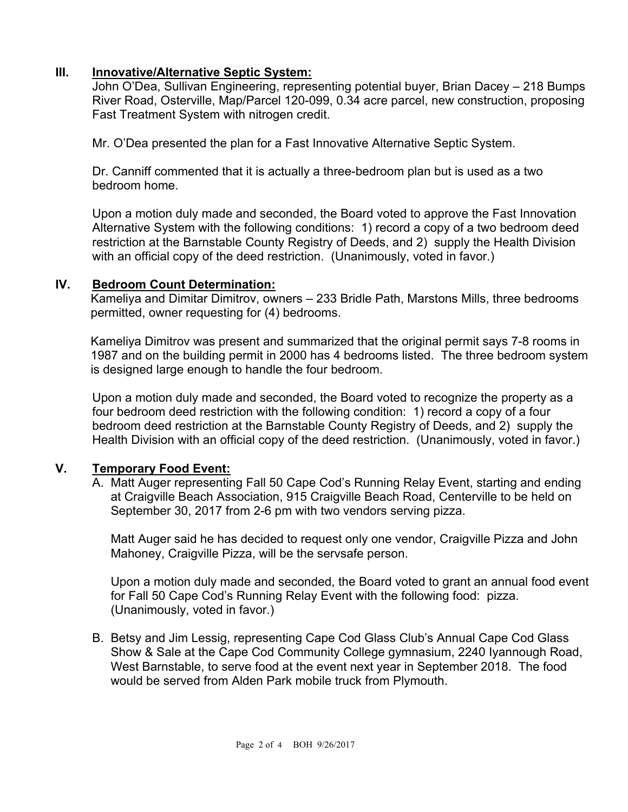## **III. Innovative/Alternative Septic System:**

John O'Dea, Sullivan Engineering, representing potential buyer, Brian Dacey – 218 Bumps River Road, Osterville, Map/Parcel 120-099, 0.34 acre parcel, new construction, proposing Fast Treatment System with nitrogen credit.

Mr. O'Dea presented the plan for a Fast Innovative Alternative Septic System.

Dr. Canniff commented that it is actually a three-bedroom plan but is used as a two bedroom home.

Upon a motion duly made and seconded, the Board voted to approve the Fast Innovation Alternative System with the following conditions: 1) record a copy of a two bedroom deed restriction at the Barnstable County Registry of Deeds, and 2) supply the Health Division with an official copy of the deed restriction. (Unanimously, voted in favor.)

## **IV. Bedroom Count Determination:**

Kameliya and Dimitar Dimitrov, owners – 233 Bridle Path, Marstons Mills, three bedrooms permitted, owner requesting for (4) bedrooms.

Kameliya Dimitrov was present and summarized that the original permit says 7-8 rooms in 1987 and on the building permit in 2000 has 4 bedrooms listed. The three bedroom system is designed large enough to handle the four bedroom.

Upon a motion duly made and seconded, the Board voted to recognize the property as a four bedroom deed restriction with the following condition: 1) record a copy of a four bedroom deed restriction at the Barnstable County Registry of Deeds, and 2) supply the Health Division with an official copy of the deed restriction. (Unanimously, voted in favor.)

## **V. Temporary Food Event:**

A. Matt Auger representing Fall 50 Cape Cod's Running Relay Event, starting and ending at Craigville Beach Association, 915 Craigville Beach Road, Centerville to be held on September 30, 2017 from 2-6 pm with two vendors serving pizza.

Matt Auger said he has decided to request only one vendor, Craigville Pizza and John Mahoney, Craigville Pizza, will be the servsafe person.

Upon a motion duly made and seconded, the Board voted to grant an annual food event for Fall 50 Cape Cod's Running Relay Event with the following food: pizza. (Unanimously, voted in favor.)

B. Betsy and Jim Lessig, representing Cape Cod Glass Club's Annual Cape Cod Glass Show & Sale at the Cape Cod Community College gymnasium, 2240 Iyannough Road, West Barnstable, to serve food at the event next year in September 2018. The food would be served from Alden Park mobile truck from Plymouth.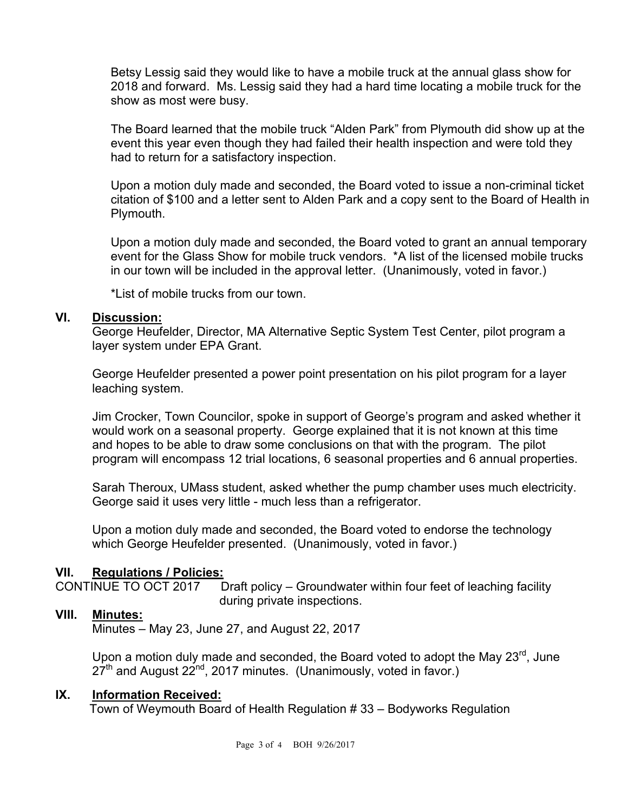Betsy Lessig said they would like to have a mobile truck at the annual glass show for 2018 and forward. Ms. Lessig said they had a hard time locating a mobile truck for the show as most were busy.

The Board learned that the mobile truck "Alden Park" from Plymouth did show up at the event this year even though they had failed their health inspection and were told they had to return for a satisfactory inspection.

Upon a motion duly made and seconded, the Board voted to issue a non-criminal ticket citation of \$100 and a letter sent to Alden Park and a copy sent to the Board of Health in Plymouth.

Upon a motion duly made and seconded, the Board voted to grant an annual temporary event for the Glass Show for mobile truck vendors. \*A list of the licensed mobile trucks in our town will be included in the approval letter. (Unanimously, voted in favor.)

\*List of mobile trucks from our town.

#### **VI. Discussion:**

George Heufelder, Director, MA Alternative Septic System Test Center, pilot program a layer system under EPA Grant.

George Heufelder presented a power point presentation on his pilot program for a layer leaching system.

Jim Crocker, Town Councilor, spoke in support of George's program and asked whether it would work on a seasonal property. George explained that it is not known at this time and hopes to be able to draw some conclusions on that with the program. The pilot program will encompass 12 trial locations, 6 seasonal properties and 6 annual properties.

Sarah Theroux, UMass student, asked whether the pump chamber uses much electricity. George said it uses very little - much less than a refrigerator.

Upon a motion duly made and seconded, the Board voted to endorse the technology which George Heufelder presented. (Unanimously, voted in favor.)

## **VII. Regulations / Policies:**

CONTINUE TO OCT 2017 Draft policy – Groundwater within four feet of leaching facility during private inspections.

## **VIII. Minutes:**

Minutes – May 23, June 27, and August 22, 2017

Upon a motion duly made and seconded, the Board voted to adopt the May 23<sup>rd</sup>, June  $27<sup>th</sup>$  and August  $22<sup>nd</sup>$ , 2017 minutes. (Unanimously, voted in favor.)

## **IX. Information Received:**

Town of Weymouth Board of Health Regulation # 33 – Bodyworks Regulation